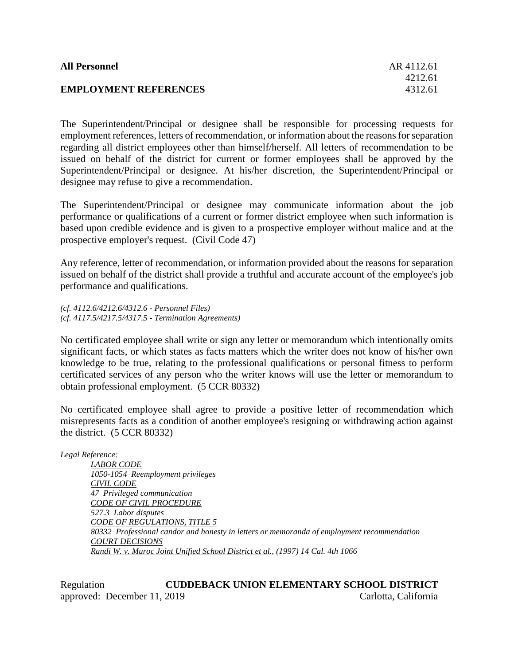| <b>All Personnel</b>         | AR 4112.61 |
|------------------------------|------------|
|                              | 4212.61    |
| <b>EMPLOYMENT REFERENCES</b> | 4312.61    |

The Superintendent/Principal or designee shall be responsible for processing requests for employment references, letters of recommendation, or information about the reasons forseparation regarding all district employees other than himself/herself. All letters of recommendation to be issued on behalf of the district for current or former employees shall be approved by the Superintendent/Principal or designee. At his/her discretion, the Superintendent/Principal or designee may refuse to give a recommendation.

The Superintendent/Principal or designee may communicate information about the job performance or qualifications of a current or former district employee when such information is based upon credible evidence and is given to a prospective employer without malice and at the prospective employer's request. (Civil Code 47)

Any reference, letter of recommendation, or information provided about the reasons for separation issued on behalf of the district shall provide a truthful and accurate account of the employee's job performance and qualifications.

*(cf. 4112.6/4212.6/4312.6 - Personnel Files) (cf. 4117.5/4217.5/4317.5 - Termination Agreements)*

No certificated employee shall write or sign any letter or memorandum which intentionally omits significant facts, or which states as facts matters which the writer does not know of his/her own knowledge to be true, relating to the professional qualifications or personal fitness to perform certificated services of any person who the writer knows will use the letter or memorandum to obtain professional employment. (5 CCR 80332)

No certificated employee shall agree to provide a positive letter of recommendation which misrepresents facts as a condition of another employee's resigning or withdrawing action against the district. (5 CCR 80332)

*Legal Reference: LABOR CODE 1050-1054 Reemployment privileges CIVIL CODE 47 Privileged communication CODE OF CIVIL PROCEDURE 527.3 Labor disputes CODE OF REGULATIONS, TITLE 5 80332 Professional candor and honesty in letters or memoranda of employment recommendation COURT DECISIONS Randi W. v. Muroc Joint Unified School District et al., (1997) 14 Cal. 4th 1066*

Regulation **CUDDEBACK UNION ELEMENTARY SCHOOL DISTRICT** approved: December 11, 2019 Carlotta, California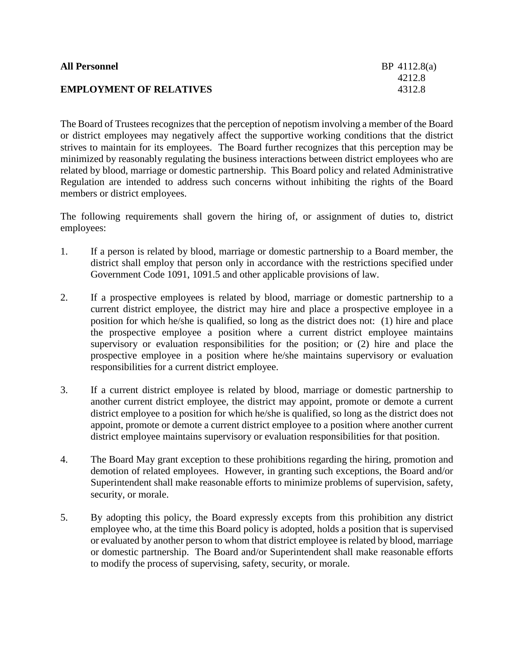| <b>All Personnel</b>           | $BP$ 4112.8(a) |
|--------------------------------|----------------|
|                                | 4212.8         |
| <b>EMPLOYMENT OF RELATIVES</b> | 4312.8         |

The Board of Trustees recognizes that the perception of nepotism involving a member of the Board or district employees may negatively affect the supportive working conditions that the district strives to maintain for its employees. The Board further recognizes that this perception may be minimized by reasonably regulating the business interactions between district employees who are related by blood, marriage or domestic partnership. This Board policy and related Administrative Regulation are intended to address such concerns without inhibiting the rights of the Board members or district employees.

The following requirements shall govern the hiring of, or assignment of duties to, district employees:

- 1. If a person is related by blood, marriage or domestic partnership to a Board member, the district shall employ that person only in accordance with the restrictions specified under Government Code 1091, 1091.5 and other applicable provisions of law.
- 2. If a prospective employees is related by blood, marriage or domestic partnership to a current district employee, the district may hire and place a prospective employee in a position for which he/she is qualified, so long as the district does not: (1) hire and place the prospective employee a position where a current district employee maintains supervisory or evaluation responsibilities for the position; or (2) hire and place the prospective employee in a position where he/she maintains supervisory or evaluation responsibilities for a current district employee.
- 3. If a current district employee is related by blood, marriage or domestic partnership to another current district employee, the district may appoint, promote or demote a current district employee to a position for which he/she is qualified, so long as the district does not appoint, promote or demote a current district employee to a position where another current district employee maintains supervisory or evaluation responsibilities for that position.
- 4. The Board May grant exception to these prohibitions regarding the hiring, promotion and demotion of related employees. However, in granting such exceptions, the Board and/or Superintendent shall make reasonable efforts to minimize problems of supervision, safety, security, or morale.
- 5. By adopting this policy, the Board expressly excepts from this prohibition any district employee who, at the time this Board policy is adopted, holds a position that is supervised or evaluated by another person to whom that district employee is related by blood, marriage or domestic partnership. The Board and/or Superintendent shall make reasonable efforts to modify the process of supervising, safety, security, or morale.